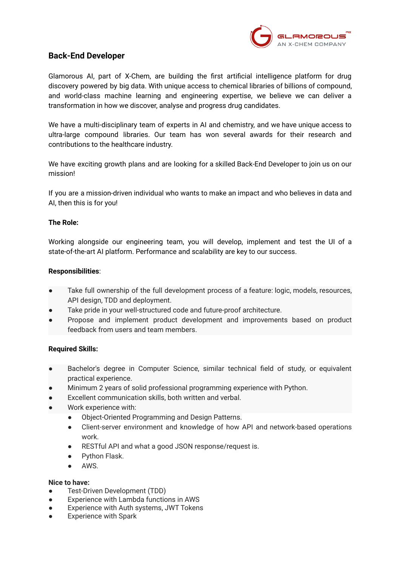

# **Back-End Developer**

Glamorous AI, part of X-Chem, are building the first artificial intelligence platform for drug discovery powered by big data. With unique access to chemical libraries of billions of compound, and world-class machine learning and engineering expertise, we believe we can deliver a transformation in how we discover, analyse and progress drug candidates.

We have a multi-disciplinary team of experts in AI and chemistry, and we have unique access to ultra-large compound libraries. Our team has won several awards for their research and contributions to the healthcare industry.

We have exciting growth plans and are looking for a skilled Back-End Developer to join us on our mission!

If you are a mission-driven individual who wants to make an impact and who believes in data and AI, then this is for you!

## **The Role:**

Working alongside our engineering team, you will develop, implement and test the UI of a state-of-the-art AI platform. Performance and scalability are key to our success.

## **Responsibilities**:

- Take full ownership of the full development process of a feature: logic, models, resources, API design, TDD and deployment.
- Take pride in your well-structured code and future-proof architecture.
- Propose and implement product development and improvements based on product feedback from users and team members.

#### **Required Skills:**

- Bachelor's degree in Computer Science, similar technical field of study, or equivalent practical experience.
- Minimum 2 years of solid professional programming experience with Python.
- Excellent communication skills, both written and verbal.
- Work experience with:
	- Object-Oriented Programming and Design Patterns.
	- Client-server environment and knowledge of how API and network-based operations work.
	- RESTful API and what a good JSON response/request is.
	- **Python Flask.**
	- AWS.

#### **Nice to have:**

- Test-Driven Development (TDD)
- Experience with Lambda functions in AWS
- Experience with Auth systems, JWT Tokens
- Experience with Spark